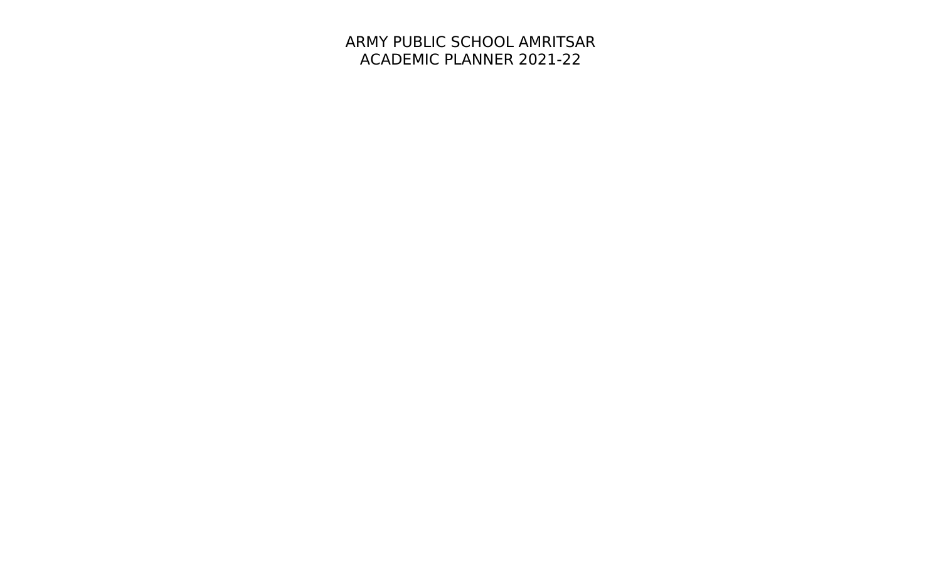## ARMY PUBLIC SCHOOL AMRITSAR ACADEMIC PLANNER 2021-22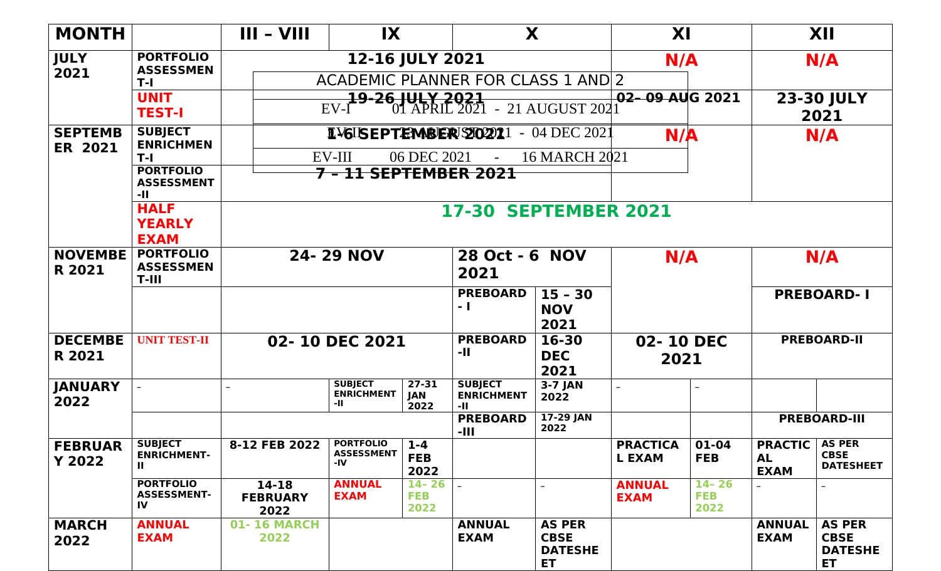| <b>MONTH</b>                     |                                                      | $III - VIII$                                  | $\mathsf{I} \mathsf{X}$                         |                                 | X                                                                            |                                                             | XI                                      |                                 |                                      | XII                                                         |  |  |
|----------------------------------|------------------------------------------------------|-----------------------------------------------|-------------------------------------------------|---------------------------------|------------------------------------------------------------------------------|-------------------------------------------------------------|-----------------------------------------|---------------------------------|--------------------------------------|-------------------------------------------------------------|--|--|
| <b>JULY</b>                      | <b>PORTFOLIO</b><br><b>ASSESSMEN</b>                 |                                               | N/A<br>N/A                                      |                                 |                                                                              |                                                             |                                         |                                 |                                      |                                                             |  |  |
| 2021                             | $T-I$                                                | <b>ACADEMIC PLANNER FOR CLASS 1 AND 2</b>     |                                                 |                                 |                                                                              |                                                             |                                         |                                 |                                      |                                                             |  |  |
|                                  | <b>UNIT</b><br><b>TEST-I</b>                         |                                               | EVI                                             |                                 | 02-09 AUG 2021<br><b>19-26 JULY 2021</b><br>I 01 APRIL 2021 - 21 AUGUST 2021 |                                                             |                                         | <b>23-30 JULY</b><br>2021       |                                      |                                                             |  |  |
| <b>SEPTEMB</b><br><b>ER 2021</b> | <b>SUBJECT</b><br><b>ENRICHMEN</b>                   |                                               | <b>IVGISEPTEMBER 20221 - 04 DEC 2021</b><br>N/A |                                 |                                                                              | N/A                                                         |                                         |                                 |                                      |                                                             |  |  |
|                                  | $T-I$                                                | <b>16 MARCH 2021</b><br>EV-III<br>06 DEC 2021 |                                                 |                                 |                                                                              |                                                             |                                         |                                 |                                      |                                                             |  |  |
|                                  | <b>PORTFOLIO</b><br><b>ASSESSMENT</b><br>-11         | <del>7 - 11 SEPTEMBER 2021</del>              |                                                 |                                 |                                                                              |                                                             |                                         |                                 |                                      |                                                             |  |  |
|                                  | <b>HALF</b><br><b>YEARLY</b><br><b>EXAM</b>          | <b>17-30 SEPTEMBER 2021</b>                   |                                                 |                                 |                                                                              |                                                             |                                         |                                 |                                      |                                                             |  |  |
| <b>NOVEMBE</b><br>R 2021         | <b>PORTFOLIO</b><br><b>ASSESSMEN</b><br>$T-III$      | <b>24-29 NOV</b>                              |                                                 |                                 | 28 Oct - 6 NOV<br>2021                                                       |                                                             | N/A                                     |                                 | N/A                                  |                                                             |  |  |
|                                  |                                                      |                                               |                                                 |                                 | <b>PREBOARD</b><br>- 1                                                       | $15 - 30$<br><b>NOV</b><br>2021                             | <b>PREBOARD-1</b>                       |                                 |                                      |                                                             |  |  |
| <b>DECEMBE</b><br>R 2021         | <b>UNIT TEST-II</b>                                  |                                               | 02-10 DEC 2021                                  |                                 | <b>PREBOARD</b><br>-11                                                       | 16-30<br><b>DEC</b><br>2021                                 | <b>PREBOARD-II</b><br>02-10 DEC<br>2021 |                                 |                                      |                                                             |  |  |
| <b>JANUARY</b><br>2022           |                                                      |                                               | <b>SUBJECT</b><br><b>ENRICHMENT</b><br>-11      | $27 - 31$<br>JAN<br>2022        | <b>SUBJECT</b><br><b>ENRICHMENT</b><br>-11                                   | $3-7$ JAN<br>2022                                           |                                         |                                 |                                      |                                                             |  |  |
|                                  |                                                      |                                               |                                                 |                                 | <b>PREBOARD</b><br>-111                                                      | 17-29 JAN<br>2022                                           |                                         |                                 |                                      | <b>PREBOARD-III</b>                                         |  |  |
| <b>FEBRUAR</b><br><b>Y 2022</b>  | <b>SUBJECT</b><br><b>ENRICHMENT-</b><br>$\mathbf{H}$ | 8-12 FEB 2022                                 | <b>PORTFOLIO</b><br><b>ASSESSMENT</b><br>-IV    | $1 - 4$<br><b>FEB</b><br>2022   |                                                                              |                                                             | <b>PRACTICA</b><br><b>L EXAM</b>        | 01-04<br><b>FEB</b>             | <b>PRACTIC</b><br>AL.<br><b>EXAM</b> | <b>AS PER</b><br><b>CBSE</b><br><b>DATESHEET</b>            |  |  |
|                                  | <b>PORTFOLIO</b><br><b>ASSESSMENT-</b><br>IV         | $14 - 18$<br><b>FEBRUARY</b><br>2022          | <b>ANNUAL</b><br><b>EXAM</b>                    | $14 - 26$<br><b>FEB</b><br>2022 |                                                                              |                                                             | <b>ANNUAL</b><br><b>EXAM</b>            | $14 - 26$<br><b>FEB</b><br>2022 |                                      |                                                             |  |  |
| <b>MARCH</b><br>2022             | <b>ANNUAL</b><br><b>EXAM</b>                         | <b>01-16 MARCH</b><br>2022                    |                                                 |                                 | <b>ANNUAL</b><br><b>EXAM</b>                                                 | <b>AS PER</b><br><b>CBSE</b><br><b>DATESHE</b><br><b>ET</b> |                                         |                                 | <b>ANNUAL</b><br><b>EXAM</b>         | <b>AS PER</b><br><b>CBSE</b><br><b>DATESHE</b><br><b>ET</b> |  |  |